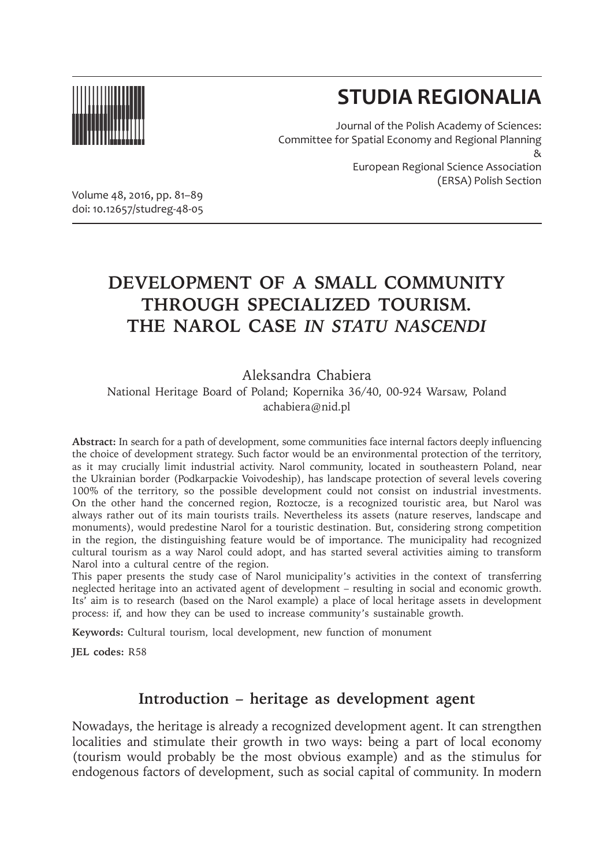

# **STUDIA REGIONALIA**

(ERSA) Polish Section

Journal of the Polish Academy of Sciences: Committee for Spatial Economy and Regional Planning & European Regional Science Association

Volume 48, 2016, pp. 81–89 doi: 10.12657/studreg-48-05

# **DEVELOPMENT OF A SMALL COMMUNITY THROUGH SPECIALIZED TOURISM. THE NAROL CASE** *IN STATU NASCENDI*

Aleksandra Chabiera

National Heritage Board of Poland; Kopernika 36/40, 00-924 Warsaw, Poland achabiera@nid.pl

**Abstract:** In search for a path of development, some communities face internal factors deeply influencing the choice of development strategy. Such factor would be an environmental protection of the territory, as it may crucially limit industrial activity. Narol community, located in southeastern Poland, near the Ukrainian border (Podkarpackie Voivodeship), has landscape protection of several levels covering 100% of the territory, so the possible development could not consist on industrial investments. On the other hand the concerned region, Roztocze, is a recognized touristic area, but Narol was always rather out of its main tourists trails. Nevertheless its assets (nature reserves, landscape and monuments), would predestine Narol for a touristic destination. But, considering strong competition in the region, the distinguishing feature would be of importance. The municipality had recognized cultural tourism as a way Narol could adopt, and has started several activities aiming to transform Narol into a cultural centre of the region.

This paper presents the study case of Narol municipality's activities in the context of transferring neglected heritage into an activated agent of development – resulting in social and economic growth. Its' aim is to research (based on the Narol example) a place of local heritage assets in development process: if, and how they can be used to increase community's sustainable growth.

**Keywords:** Cultural tourism, local development, new function of monument

**JEL codes:** R58

# **Introduction – heritage as development agent**

Nowadays, the heritage is already a recognized development agent. It can strengthen localities and stimulate their growth in two ways: being a part of local economy (tourism would probably be the most obvious example) and as the stimulus for endogenous factors of development, such as social capital of community. In modern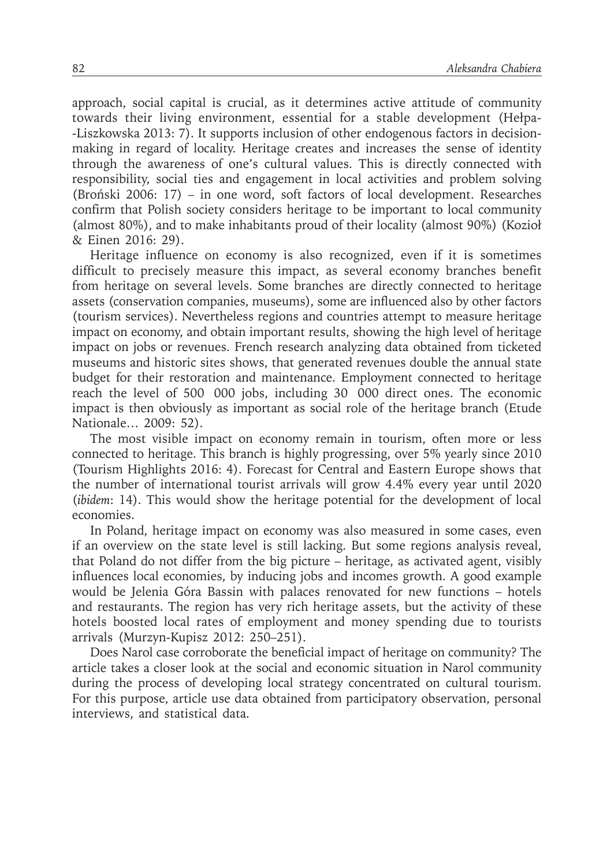approach, social capital is crucial, as it determines active attitude of community towards their living environment, essential for a stable development (Hełpa- -Liszkowska 2013: 7). It supports inclusion of other endogenous factors in decisionmaking in regard of locality. Heritage creates and increases the sense of identity through the awareness of one's cultural values. This is directly connected with responsibility, social ties and engagement in local activities and problem solving (Broński 2006: 17) – in one word, soft factors of local development. Researches confirm that Polish society considers heritage to be important to local community (almost 80%), and to make inhabitants proud of their locality (almost 90%) (Kozioł & Einen 2016: 29).

Heritage influence on economy is also recognized, even if it is sometimes difficult to precisely measure this impact, as several economy branches benefit from heritage on several levels. Some branches are directly connected to heritage assets (conservation companies, museums), some are influenced also by other factors (tourism services). Nevertheless regions and countries attempt to measure heritage impact on economy, and obtain important results, showing the high level of heritage impact on jobs or revenues. French research analyzing data obtained from ticketed museums and historic sites shows, that generated revenues double the annual state budget for their restoration and maintenance. Employment connected to heritage reach the level of 500 000 jobs, including 30 000 direct ones. The economic impact is then obviously as important as social role of the heritage branch (Etude Nationale… 2009: 52).

The most visible impact on economy remain in tourism, often more or less connected to heritage. This branch is highly progressing, over 5% yearly since 2010 (Tourism Highlights 2016: 4). Forecast for Central and Eastern Europe shows that the number of international tourist arrivals will grow 4.4% every year until 2020 (*ibidem*: 14). This would show the heritage potential for the development of local economies.

In Poland, heritage impact on economy was also measured in some cases, even if an overview on the state level is still lacking. But some regions analysis reveal, that Poland do not differ from the big picture – heritage, as activated agent, visibly influences local economies, by inducing jobs and incomes growth. A good example would be Jelenia Góra Bassin with palaces renovated for new functions – hotels and restaurants. The region has very rich heritage assets, but the activity of these hotels boosted local rates of employment and money spending due to tourists arrivals (Murzyn-Kupisz 2012: 250–251).

Does Narol case corroborate the beneficial impact of heritage on community? The article takes a closer look at the social and economic situation in Narol community during the process of developing local strategy concentrated on cultural tourism. For this purpose, article use data obtained from participatory observation, personal interviews, and statistical data.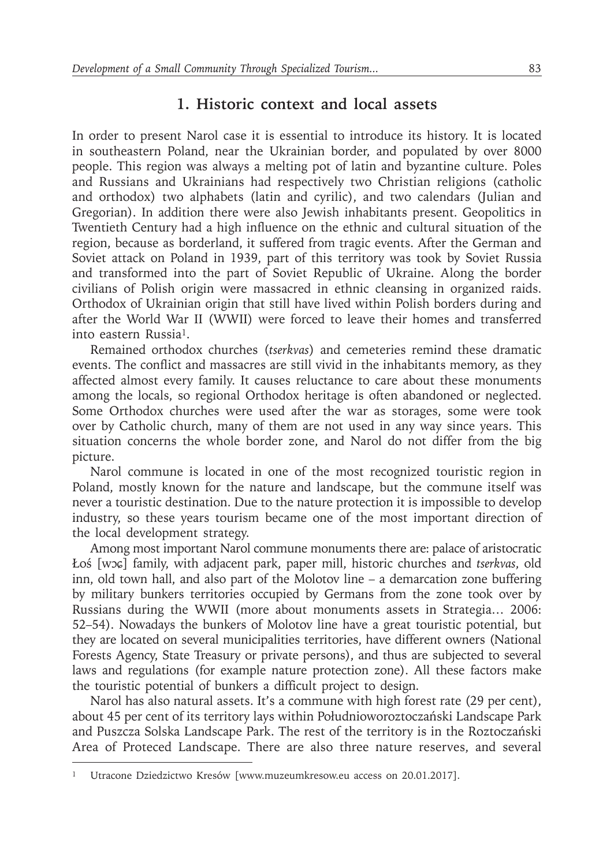## **1. Historic context and local assets**

In order to present Narol case it is essential to introduce its history. It is located in southeastern Poland, near the Ukrainian border, and populated by over 8000 people. This region was always a melting pot of latin and byzantine culture. Poles and Russians and Ukrainians had respectively two Christian religions (catholic and orthodox) two alphabets (latin and cyrilic), and two calendars (Julian and Gregorian). In addition there were also Jewish inhabitants present. Geopolitics in Twentieth Century had a high influence on the ethnic and cultural situation of the region, because as borderland, it suffered from tragic events. After the German and Soviet attack on Poland in 1939, part of this territory was took by Soviet Russia and transformed into the part of Soviet Republic of Ukraine. Along the border civilians of Polish origin were massacred in ethnic cleansing in organized raids. Orthodox of Ukrainian origin that still have lived within Polish borders during and after the World War II (WWII) were forced to leave their homes and transferred into eastern Russia1.

Remained orthodox churches (*tserkvas*) and cemeteries remind these dramatic events. The conflict and massacres are still vivid in the inhabitants memory, as they affected almost every family. It causes reluctance to care about these monuments among the locals, so regional Orthodox heritage is often abandoned or neglected. Some Orthodox churches were used after the war as storages, some were took over by Catholic church, many of them are not used in any way since years. This situation concerns the whole border zone, and Narol do not differ from the big picture.

Narol commune is located in one of the most recognized touristic region in Poland, mostly known for the nature and landscape, but the commune itself was never a touristic destination. Due to the nature protection it is impossible to develop industry, so these years tourism became one of the most important direction of the local development strategy.

Among most important Narol commune monuments there are: palace of aristocratic Łoś [wɔɕ] family, with adjacent park, paper mill, historic churches and *tserkvas*, old inn, old town hall, and also part of the Molotov line – a demarcation zone buffering by military bunkers territories occupied by Germans from the zone took over by Russians during the WWII (more about monuments assets in Strategia… 2006: 52–54). Nowadays the bunkers of Molotov line have a great touristic potential, but they are located on several municipalities territories, have different owners (National Forests Agency, State Treasury or private persons), and thus are subjected to several laws and regulations (for example nature protection zone). All these factors make the touristic potential of bunkers a difficult project to design.

Narol has also natural assets. It's a commune with high forest rate (29 per cent), about 45 per cent of its territory lays within Południoworoztoczański Landscape Park and Puszcza Solska Landscape Park. The rest of the territory is in the Roztoczański Area of Proteced Landscape. There are also three nature reserves, and several

<sup>1</sup> Utracone Dziedzictwo Kresów [www.muzeumkresow.eu access on 20.01.2017].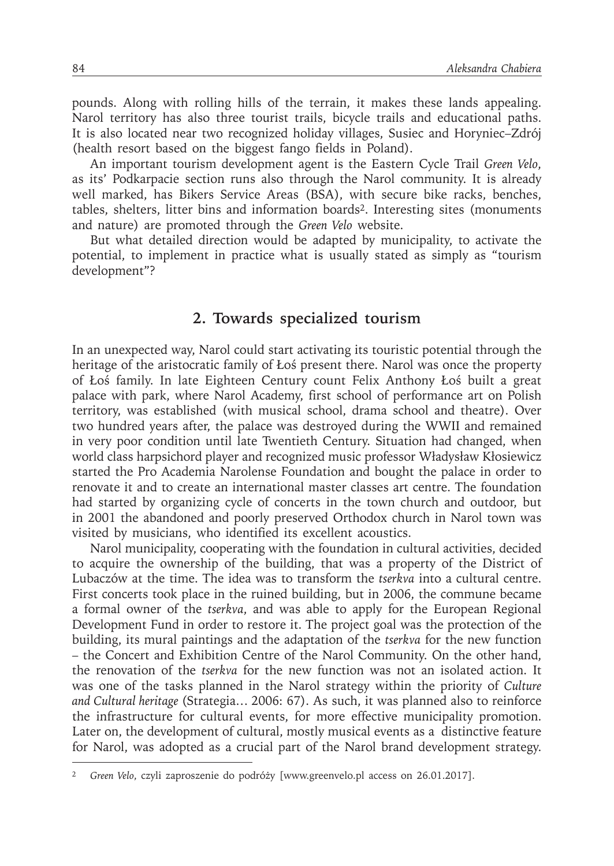pounds. Along with rolling hills of the terrain, it makes these lands appealing. Narol territory has also three tourist trails, bicycle trails and educational paths. It is also located near two recognized holiday villages, Susiec and Horyniec–Zdrój (health resort based on the biggest fango fields in Poland).

An important tourism development agent is the Eastern Cycle Trail *Green Velo*, as its' Podkarpacie section runs also through the Narol community. It is already well marked, has Bikers Service Areas (BSA), with secure bike racks, benches, tables, shelters, litter bins and information boards2. Interesting sites (monuments and nature) are promoted through the *Green Velo* website.

But what detailed direction would be adapted by municipality, to activate the potential, to implement in practice what is usually stated as simply as "tourism development"?

#### **2. Towards specialized tourism**

In an unexpected way, Narol could start activating its touristic potential through the heritage of the aristocratic family of Łoś present there. Narol was once the property of Łoś family. In late Eighteen Century count Felix Anthony Łoś built a great palace with park, where Narol Academy, first school of performance art on Polish territory, was established (with musical school, drama school and theatre). Over two hundred years after, the palace was destroyed during the WWII and remained in very poor condition until late Twentieth Century. Situation had changed, when world class harpsichord player and recognized music professor Władysław Kłosiewicz started the Pro Academia Narolense Foundation and bought the palace in order to renovate it and to create an international master classes art centre. The foundation had started by organizing cycle of concerts in the town church and outdoor, but in 2001 the abandoned and poorly preserved Orthodox church in Narol town was visited by musicians, who identified its excellent acoustics.

Narol municipality, cooperating with the foundation in cultural activities, decided to acquire the ownership of the building, that was a property of the District of Lubaczów at the time. The idea was to transform the *tserkva* into a cultural centre. First concerts took place in the ruined building, but in 2006, the commune became a formal owner of the *tserkva*, and was able to apply for the European Regional Development Fund in order to restore it. The project goal was the protection of the building, its mural paintings and the adaptation of the *tserkva* for the new function – the Concert and Exhibition Centre of the Narol Community. On the other hand, the renovation of the *tserkva* for the new function was not an isolated action. It was one of the tasks planned in the Narol strategy within the priority of *Culture and Cultural heritage* (Strategia… 2006: 67). As such, it was planned also to reinforce the infrastructure for cultural events, for more effective municipality promotion. Later on, the development of cultural, mostly musical events as a distinctive feature for Narol, was adopted as a crucial part of the Narol brand development strategy.

<sup>2</sup> *Green Velo*, czyli zaproszenie do podróży [www.greenvelo.pl access on 26.01.2017].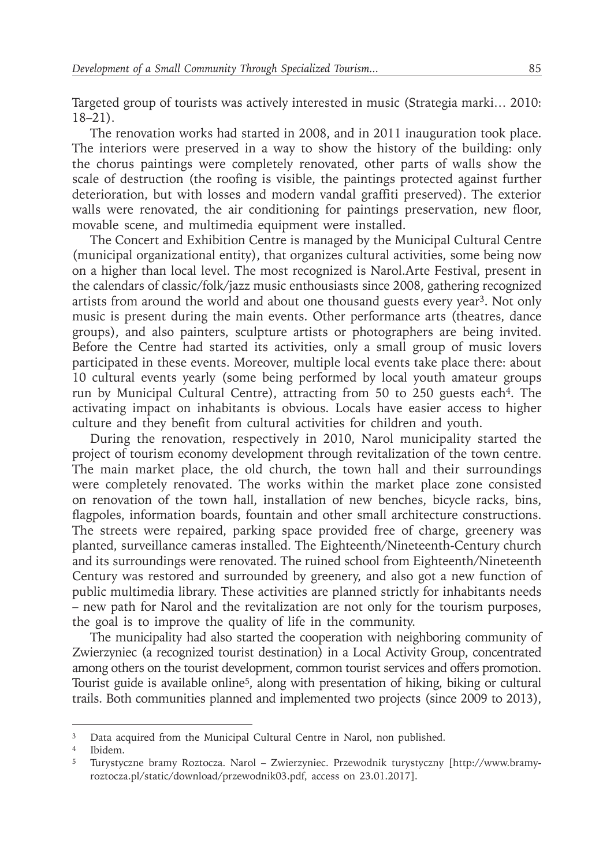Targeted group of tourists was actively interested in music (Strategia marki… 2010: 18–21).

The renovation works had started in 2008, and in 2011 inauguration took place. The interiors were preserved in a way to show the history of the building: only the chorus paintings were completely renovated, other parts of walls show the scale of destruction (the roofing is visible, the paintings protected against further deterioration, but with losses and modern vandal graffiti preserved). The exterior walls were renovated, the air conditioning for paintings preservation, new floor, movable scene, and multimedia equipment were installed.

The Concert and Exhibition Centre is managed by the Municipal Cultural Centre (municipal organizational entity), that organizes cultural activities, some being now on a higher than local level. The most recognized is Narol.Arte Festival, present in the calendars of classic/folk/jazz music enthousiasts since 2008, gathering recognized artists from around the world and about one thousand guests every year3. Not only music is present during the main events. Other performance arts (theatres, dance groups), and also painters, sculpture artists or photographers are being invited. Before the Centre had started its activities, only a small group of music lovers participated in these events. Moreover, multiple local events take place there: about 10 cultural events yearly (some being performed by local youth amateur groups run by Municipal Cultural Centre), attracting from 50 to 250 guests each<sup>4</sup>. The activating impact on inhabitants is obvious. Locals have easier access to higher culture and they benefit from cultural activities for children and youth.

During the renovation, respectively in 2010, Narol municipality started the project of tourism economy development through revitalization of the town centre. The main market place, the old church, the town hall and their surroundings were completely renovated. The works within the market place zone consisted on renovation of the town hall, installation of new benches, bicycle racks, bins, flagpoles, information boards, fountain and other small architecture constructions. The streets were repaired, parking space provided free of charge, greenery was planted, surveillance cameras installed. The Eighteenth/Nineteenth-Century church and its surroundings were renovated. The ruined school from Eighteenth/Nineteenth Century was restored and surrounded by greenery, and also got a new function of public multimedia library. These activities are planned strictly for inhabitants needs – new path for Narol and the revitalization are not only for the tourism purposes, the goal is to improve the quality of life in the community.

The municipality had also started the cooperation with neighboring community of Zwierzyniec (a recognized tourist destination) in a Local Activity Group, concentrated among others on the tourist development, common tourist services and offers promotion. Tourist guide is available online<sup>5</sup>, along with presentation of hiking, biking or cultural trails. Both communities planned and implemented two projects (since 2009 to 2013),

<sup>&</sup>lt;sup>3</sup> Data acquired from the Municipal Cultural Centre in Narol, non published.

<sup>4</sup> Ibidem.

<sup>5</sup> Turystyczne bramy Roztocza. Narol – Zwierzyniec. Przewodnik turystyczny [http://www.bramyroztocza.pl/static/download/przewodnik03.pdf, access on 23.01.2017].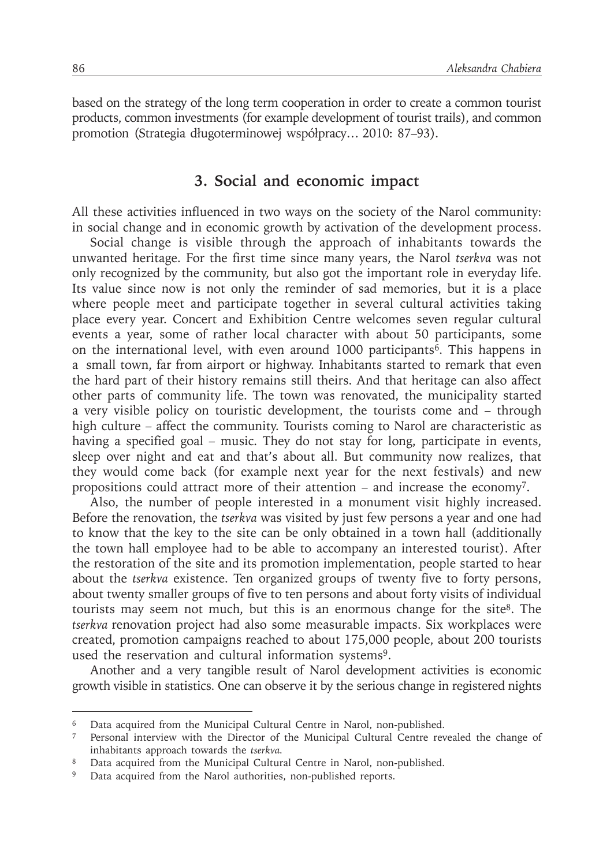based on the strategy of the long term cooperation in order to create a common tourist products, common investments (for example development of tourist trails), and common promotion (Strategia długoterminowej współpracy… 2010: 87–93).

#### **3. Social and economic impact**

All these activities influenced in two ways on the society of the Narol community: in social change and in economic growth by activation of the development process.

Social change is visible through the approach of inhabitants towards the unwanted heritage. For the first time since many years, the Narol *tserkva* was not only recognized by the community, but also got the important role in everyday life. Its value since now is not only the reminder of sad memories, but it is a place where people meet and participate together in several cultural activities taking place every year. Concert and Exhibition Centre welcomes seven regular cultural events a year, some of rather local character with about 50 participants, some on the international level, with even around 1000 participants<sup>6</sup>. This happens in a small town, far from airport or highway. Inhabitants started to remark that even the hard part of their history remains still theirs. And that heritage can also affect other parts of community life. The town was renovated, the municipality started a very visible policy on touristic development, the tourists come and – through high culture – affect the community. Tourists coming to Narol are characteristic as having a specified goal – music. They do not stay for long, participate in events, sleep over night and eat and that's about all. But community now realizes, that they would come back (for example next year for the next festivals) and new propositions could attract more of their attention – and increase the economy7.

Also, the number of people interested in a monument visit highly increased. Before the renovation, the *tserkva* was visited by just few persons a year and one had to know that the key to the site can be only obtained in a town hall (additionally the town hall employee had to be able to accompany an interested tourist). After the restoration of the site and its promotion implementation, people started to hear about the *tserkva* existence. Ten organized groups of twenty five to forty persons, about twenty smaller groups of five to ten persons and about forty visits of individual tourists may seem not much, but this is an enormous change for the site<sup>8</sup>. The *tserkva* renovation project had also some measurable impacts. Six workplaces were created, promotion campaigns reached to about 175,000 people, about 200 tourists used the reservation and cultural information systems<sup>9</sup>.

Another and a very tangible result of Narol development activities is economic growth visible in statistics. One can observe it by the serious change in registered nights

<sup>&</sup>lt;sup>6</sup> Data acquired from the Municipal Cultural Centre in Narol, non-published.

<sup>7</sup> Personal interview with the Director of the Municipal Cultural Centre revealed the change of inhabitants approach towards the *tserkva.*

<sup>&</sup>lt;sup>8</sup> Data acquired from the Municipal Cultural Centre in Narol, non-published.

<sup>&</sup>lt;sup>9</sup> Data acquired from the Narol authorities, non-published reports.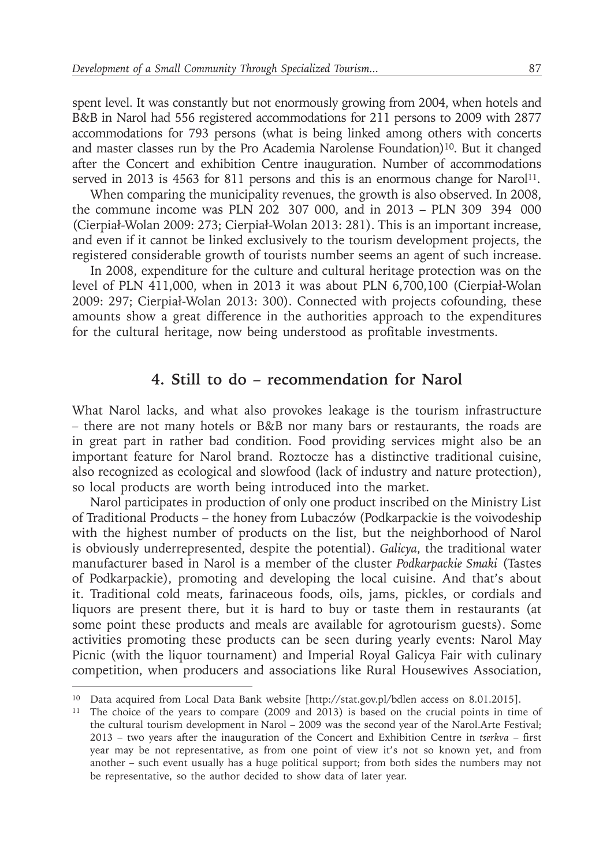spent level. It was constantly but not enormously growing from 2004, when hotels and B&B in Narol had 556 registered accommodations for 211 persons to 2009 with 2877 accommodations for 793 persons (what is being linked among others with concerts and master classes run by the Pro Academia Narolense Foundation)10. But it changed after the Concert and exhibition Centre inauguration. Number of accommodations served in 2013 is 4563 for 811 persons and this is an enormous change for Narol<sup>11</sup>.

When comparing the municipality revenues, the growth is also observed. In 2008, the commune income was PLN 202 307 000, and in 2013 – PLN 309 394 000 (Cierpiał-Wolan 2009: 273; Cierpiał-Wolan 2013: 281). This is an important increase, and even if it cannot be linked exclusively to the tourism development projects, the registered considerable growth of tourists number seems an agent of such increase.

In 2008, expenditure for the culture and cultural heritage protection was on the level of PLN 411,000, when in 2013 it was about PLN 6,700,100 (Cierpiał-Wolan 2009: 297; Cierpiał-Wolan 2013: 300). Connected with projects cofounding, these amounts show a great difference in the authorities approach to the expenditures for the cultural heritage, now being understood as profitable investments.

## **4. Still to do – recommendation for Narol**

What Narol lacks, and what also provokes leakage is the tourism infrastructure – there are not many hotels or B&B nor many bars or restaurants, the roads are in great part in rather bad condition. Food providing services might also be an important feature for Narol brand. Roztocze has a distinctive traditional cuisine, also recognized as ecological and slowfood (lack of industry and nature protection), so local products are worth being introduced into the market.

Narol participates in production of only one product inscribed on the Ministry List of Traditional Products – the honey from Lubaczów (Podkarpackie is the voivodeship with the highest number of products on the list, but the neighborhood of Narol is obviously underrepresented, despite the potential). *Galicya*, the traditional water manufacturer based in Narol is a member of the cluster *Podkarpackie Smaki* (Tastes of Podkarpackie), promoting and developing the local cuisine. And that's about it. Traditional cold meats, farinaceous foods, oils, jams, pickles, or cordials and liquors are present there, but it is hard to buy or taste them in restaurants (at some point these products and meals are available for agrotourism guests). Some activities promoting these products can be seen during yearly events: Narol May Picnic (with the liquor tournament) and Imperial Royal Galicya Fair with culinary competition, when producers and associations like Rural Housewives Association,

<sup>10</sup> Data acquired from Local Data Bank website [http://stat.gov.pl/bdlen access on 8.01.2015].

<sup>&</sup>lt;sup>11</sup> The choice of the years to compare (2009 and 2013) is based on the crucial points in time of the cultural tourism development in Narol – 2009 was the second year of the Narol.Arte Festival; 2013 – two years after the inauguration of the Concert and Exhibition Centre in *tserkva* – first year may be not representative, as from one point of view it's not so known yet, and from another – such event usually has a huge political support; from both sides the numbers may not be representative, so the author decided to show data of later year.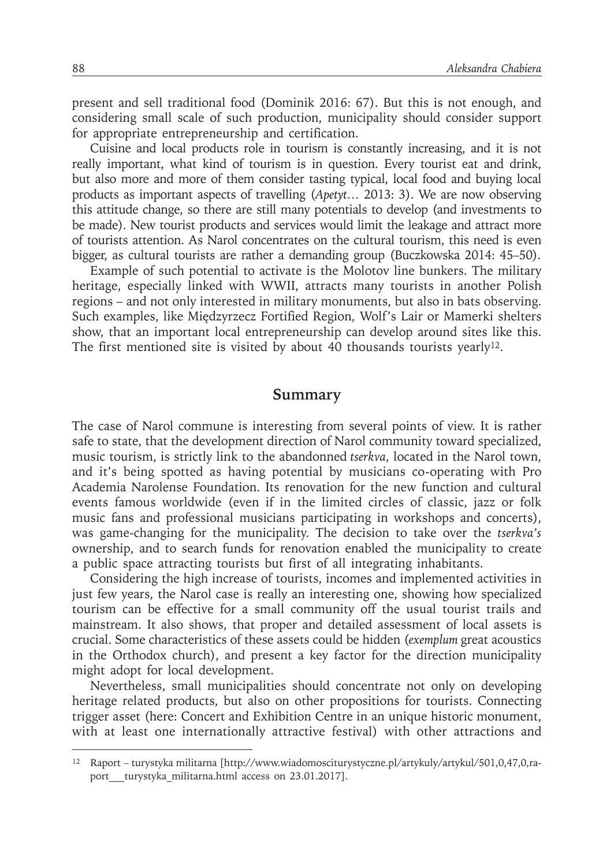present and sell traditional food (Dominik 2016: 67). But this is not enough, and considering small scale of such production, municipality should consider support for appropriate entrepreneurship and certification.

Cuisine and local products role in tourism is constantly increasing, and it is not really important, what kind of tourism is in question. Every tourist eat and drink, but also more and more of them consider tasting typical, local food and buying local products as important aspects of travelling (*Apetyt…* 2013: 3). We are now observing this attitude change, so there are still many potentials to develop (and investments to be made). New tourist products and services would limit the leakage and attract more of tourists attention. As Narol concentrates on the cultural tourism, this need is even bigger, as cultural tourists are rather a demanding group (Buczkowska 2014: 45–50).

Example of such potential to activate is the Molotov line bunkers. The military heritage, especially linked with WWII, attracts many tourists in another Polish regions – and not only interested in military monuments, but also in bats observing. Such examples, like Międzyrzecz Fortified Region, Wolf's Lair or Mamerki shelters show, that an important local entrepreneurship can develop around sites like this. The first mentioned site is visited by about 40 thousands tourists yearly<sup>12</sup>.

#### **Summary**

The case of Narol commune is interesting from several points of view. It is rather safe to state, that the development direction of Narol community toward specialized, music tourism, is strictly link to the abandonned *tserkva*, located in the Narol town, and it's being spotted as having potential by musicians co-operating with Pro Academia Narolense Foundation. Its renovation for the new function and cultural events famous worldwide (even if in the limited circles of classic, jazz or folk music fans and professional musicians participating in workshops and concerts), was game-changing for the municipality. The decision to take over the *tserkva's*  ownership, and to search funds for renovation enabled the municipality to create a public space attracting tourists but first of all integrating inhabitants.

Considering the high increase of tourists, incomes and implemented activities in just few years, the Narol case is really an interesting one, showing how specialized tourism can be effective for a small community off the usual tourist trails and mainstream. It also shows, that proper and detailed assessment of local assets is crucial. Some characteristics of these assets could be hidden (*exemplum* great acoustics in the Orthodox church), and present a key factor for the direction municipality might adopt for local development.

Nevertheless, small municipalities should concentrate not only on developing heritage related products, but also on other propositions for tourists. Connecting trigger asset (here: Concert and Exhibition Centre in an unique historic monument, with at least one internationally attractive festival) with other attractions and

<sup>12</sup> Raport – turystyka militarna [http://www.wiadomosciturystyczne.pl/artykuly/artykul/501,0,47,0,raport turystyka militarna.html access on 23.01.2017].